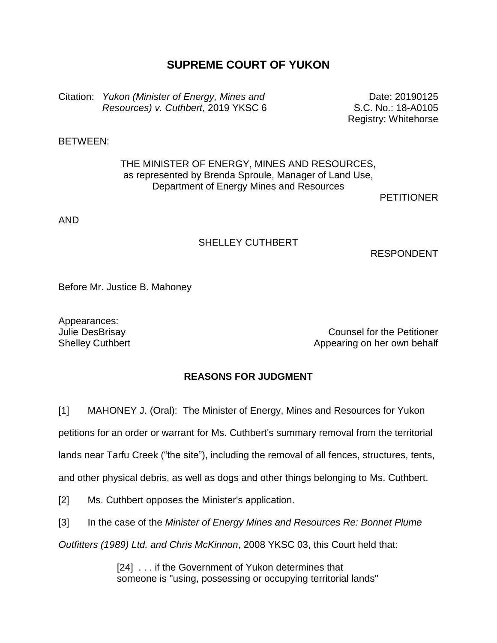## **SUPREME COURT OF YUKON**

Citation: *Yukon (Minister of Energy, Mines and Resources) v. Cuthbert*, 2019 YKSC 6

Date: 20190125 S.C. No.: 18-A0105 Registry: Whitehorse

BETWEEN:

## THE MINISTER OF ENERGY, MINES AND RESOURCES, as represented by Brenda Sproule, Manager of Land Use, Department of Energy Mines and Resources

PETITIONER

AND

## SHELLEY CUTHBERT

RESPONDENT

Before Mr. Justice B. Mahoney

Appearances:

Julie DesBrisay Counsel for the Petitioner Shelley Cuthbert Appearing on her own behalf

## **REASONS FOR JUDGMENT**

[1] MAHONEY J. (Oral): The Minister of Energy, Mines and Resources for Yukon petitions for an order or warrant for Ms. Cuthbert's summary removal from the territorial lands near Tarfu Creek ("the site"), including the removal of all fences, structures, tents, and other physical debris, as well as dogs and other things belonging to Ms. Cuthbert.

[2] Ms. Cuthbert opposes the Minister's application.

[3] In the case of the *Minister of Energy Mines and Resources Re: Bonnet Plume* 

*Outfitters (1989) Ltd. and Chris McKinnon*, 2008 YKSC 03, this Court held that:

[24] ... if the Government of Yukon determines that someone is "using, possessing or occupying territorial lands"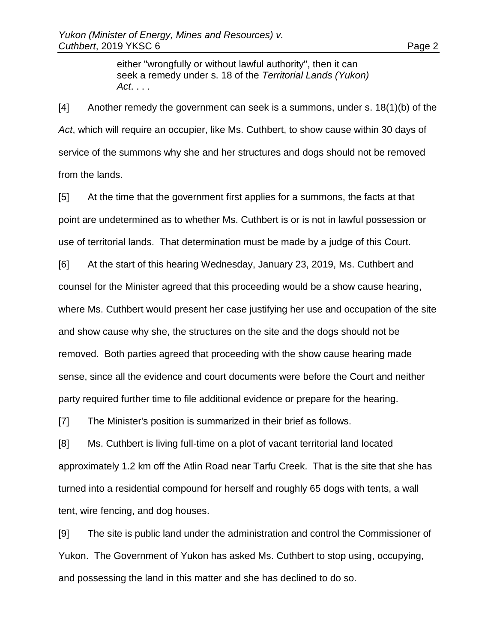either "wrongfully or without lawful authority", then it can seek a remedy under s. 18 of the *Territorial Lands (Yukon) Act*. . . .

[4] Another remedy the government can seek is a summons, under s. 18(1)(b) of the *Act*, which will require an occupier, like Ms. Cuthbert, to show cause within 30 days of service of the summons why she and her structures and dogs should not be removed from the lands.

[5] At the time that the government first applies for a summons, the facts at that point are undetermined as to whether Ms. Cuthbert is or is not in lawful possession or use of territorial lands. That determination must be made by a judge of this Court.

[6] At the start of this hearing Wednesday, January 23, 2019, Ms. Cuthbert and counsel for the Minister agreed that this proceeding would be a show cause hearing, where Ms. Cuthbert would present her case justifying her use and occupation of the site and show cause why she, the structures on the site and the dogs should not be removed. Both parties agreed that proceeding with the show cause hearing made sense, since all the evidence and court documents were before the Court and neither party required further time to file additional evidence or prepare for the hearing.

[7] The Minister's position is summarized in their brief as follows.

[8] Ms. Cuthbert is living full-time on a plot of vacant territorial land located approximately 1.2 km off the Atlin Road near Tarfu Creek. That is the site that she has turned into a residential compound for herself and roughly 65 dogs with tents, a wall tent, wire fencing, and dog houses.

[9] The site is public land under the administration and control the Commissioner of Yukon. The Government of Yukon has asked Ms. Cuthbert to stop using, occupying, and possessing the land in this matter and she has declined to do so.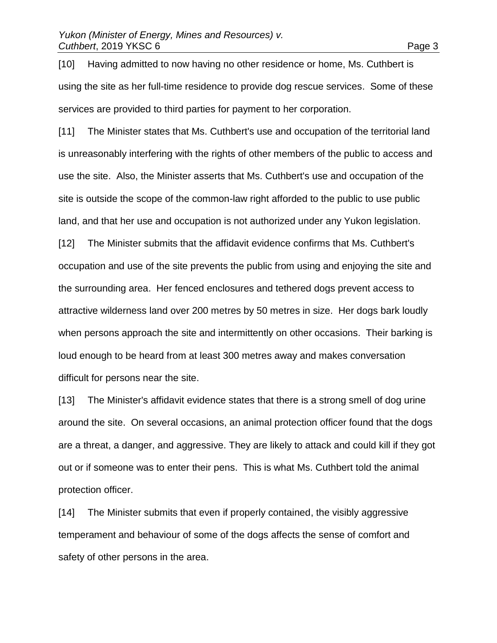[10] Having admitted to now having no other residence or home, Ms. Cuthbert is using the site as her full-time residence to provide dog rescue services. Some of these services are provided to third parties for payment to her corporation.

[11] The Minister states that Ms. Cuthbert's use and occupation of the territorial land is unreasonably interfering with the rights of other members of the public to access and use the site. Also, the Minister asserts that Ms. Cuthbert's use and occupation of the site is outside the scope of the common-law right afforded to the public to use public land, and that her use and occupation is not authorized under any Yukon legislation.

[12] The Minister submits that the affidavit evidence confirms that Ms. Cuthbert's occupation and use of the site prevents the public from using and enjoying the site and the surrounding area. Her fenced enclosures and tethered dogs prevent access to attractive wilderness land over 200 metres by 50 metres in size. Her dogs bark loudly when persons approach the site and intermittently on other occasions. Their barking is loud enough to be heard from at least 300 metres away and makes conversation difficult for persons near the site.

[13] The Minister's affidavit evidence states that there is a strong smell of dog urine around the site. On several occasions, an animal protection officer found that the dogs are a threat, a danger, and aggressive. They are likely to attack and could kill if they got out or if someone was to enter their pens. This is what Ms. Cuthbert told the animal protection officer.

[14] The Minister submits that even if properly contained, the visibly aggressive temperament and behaviour of some of the dogs affects the sense of comfort and safety of other persons in the area.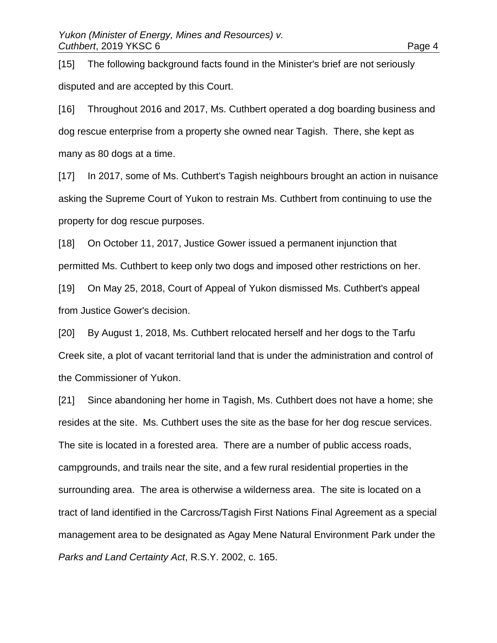[15] The following background facts found in the Minister's brief are not seriously disputed and are accepted by this Court.

[16] Throughout 2016 and 2017, Ms. Cuthbert operated a dog boarding business and dog rescue enterprise from a property she owned near Tagish. There, she kept as many as 80 dogs at a time.

[17] In 2017, some of Ms. Cuthbert's Tagish neighbours brought an action in nuisance asking the Supreme Court of Yukon to restrain Ms. Cuthbert from continuing to use the property for dog rescue purposes.

[18] On October 11, 2017, Justice Gower issued a permanent injunction that permitted Ms. Cuthbert to keep only two dogs and imposed other restrictions on her.

[19] On May 25, 2018, Court of Appeal of Yukon dismissed Ms. Cuthbert's appeal from Justice Gower's decision.

[20] By August 1, 2018, Ms. Cuthbert relocated herself and her dogs to the Tarfu Creek site, a plot of vacant territorial land that is under the administration and control of the Commissioner of Yukon.

[21] Since abandoning her home in Tagish, Ms. Cuthbert does not have a home; she resides at the site. Ms. Cuthbert uses the site as the base for her dog rescue services. The site is located in a forested area. There are a number of public access roads, campgrounds, and trails near the site, and a few rural residential properties in the surrounding area. The area is otherwise a wilderness area. The site is located on a tract of land identified in the Carcross/Tagish First Nations Final Agreement as a special management area to be designated as Agay Mene Natural Environment Park under the *Parks and Land Certainty Act*, R.S.Y. 2002, c. 165.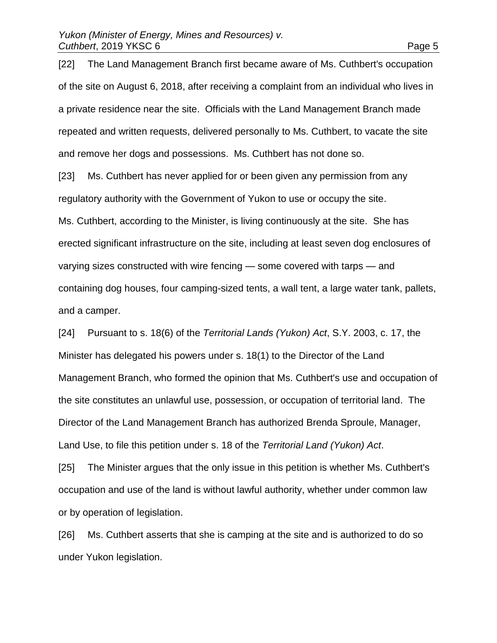[22] The Land Management Branch first became aware of Ms. Cuthbert's occupation of the site on August 6, 2018, after receiving a complaint from an individual who lives in a private residence near the site. Officials with the Land Management Branch made repeated and written requests, delivered personally to Ms. Cuthbert, to vacate the site and remove her dogs and possessions. Ms. Cuthbert has not done so.

[23] Ms. Cuthbert has never applied for or been given any permission from any regulatory authority with the Government of Yukon to use or occupy the site. Ms. Cuthbert, according to the Minister, is living continuously at the site. She has erected significant infrastructure on the site, including at least seven dog enclosures of varying sizes constructed with wire fencing — some covered with tarps — and containing dog houses, four camping-sized tents, a wall tent, a large water tank, pallets, and a camper.

[24] Pursuant to s. 18(6) of the *Territorial Lands (Yukon) Act*, S.Y. 2003, c. 17, the Minister has delegated his powers under s. 18(1) to the Director of the Land Management Branch, who formed the opinion that Ms. Cuthbert's use and occupation of the site constitutes an unlawful use, possession, or occupation of territorial land. The Director of the Land Management Branch has authorized Brenda Sproule, Manager, Land Use, to file this petition under s. 18 of the *Territorial Land (Yukon) Act*.

[25] The Minister argues that the only issue in this petition is whether Ms. Cuthbert's occupation and use of the land is without lawful authority, whether under common law or by operation of legislation.

[26] Ms. Cuthbert asserts that she is camping at the site and is authorized to do so under Yukon legislation.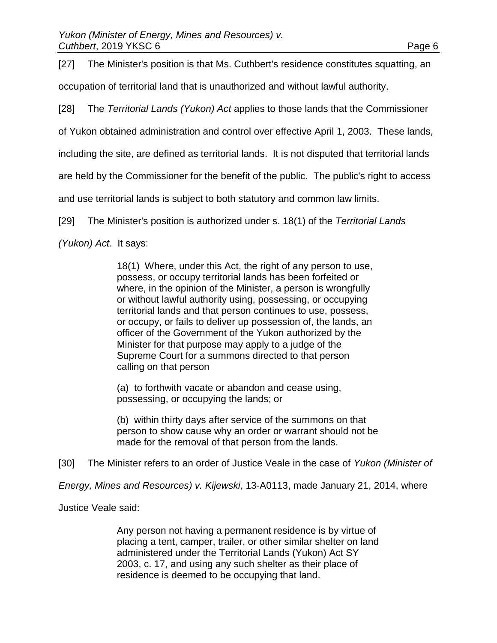[27] The Minister's position is that Ms. Cuthbert's residence constitutes squatting, an

occupation of territorial land that is unauthorized and without lawful authority.

[28] The *Territorial Lands (Yukon) Act* applies to those lands that the Commissioner

of Yukon obtained administration and control over effective April 1, 2003. These lands,

including the site, are defined as territorial lands. It is not disputed that territorial lands

are held by the Commissioner for the benefit of the public. The public's right to access

and use territorial lands is subject to both statutory and common law limits.

[29] The Minister's position is authorized under s. 18(1) of the *Territorial Lands* 

*(Yukon) Act*. It says:

18(1) Where, under this Act, the right of any person to use, possess, or occupy territorial lands has been forfeited or where, in the opinion of the Minister, a person is wrongfully or without lawful authority using, possessing, or occupying territorial lands and that person continues to use, possess, or occupy, or fails to deliver up possession of, the lands, an officer of the Government of the Yukon authorized by the Minister for that purpose may apply to a judge of the Supreme Court for a summons directed to that person calling on that person

(a) to forthwith vacate or abandon and cease using, possessing, or occupying the lands; or

(b) within thirty days after service of the summons on that person to show cause why an order or warrant should not be made for the removal of that person from the lands.

[30] The Minister refers to an order of Justice Veale in the case of *Yukon (Minister of* 

*Energy, Mines and Resources) v. Kijewski*, 13-A0113, made January 21, 2014, where

Justice Veale said:

Any person not having a permanent residence is by virtue of placing a tent, camper, trailer, or other similar shelter on land administered under the Territorial Lands (Yukon) Act SY 2003, c. 17, and using any such shelter as their place of residence is deemed to be occupying that land.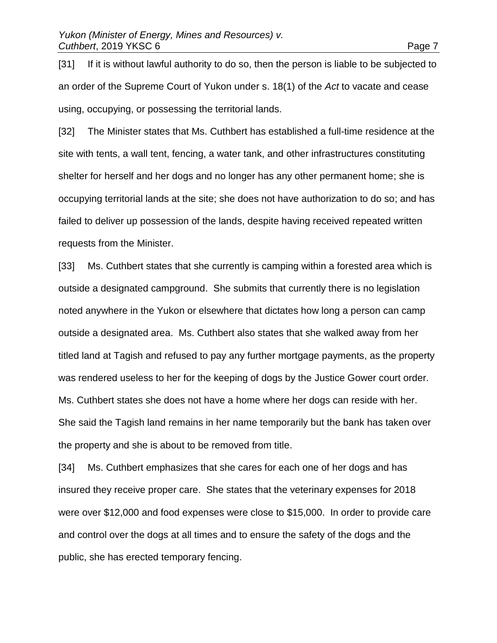[31] If it is without lawful authority to do so, then the person is liable to be subjected to an order of the Supreme Court of Yukon under s. 18(1) of the *Act* to vacate and cease using, occupying, or possessing the territorial lands.

[32] The Minister states that Ms. Cuthbert has established a full-time residence at the site with tents, a wall tent, fencing, a water tank, and other infrastructures constituting shelter for herself and her dogs and no longer has any other permanent home; she is occupying territorial lands at the site; she does not have authorization to do so; and has failed to deliver up possession of the lands, despite having received repeated written requests from the Minister.

[33] Ms. Cuthbert states that she currently is camping within a forested area which is outside a designated campground. She submits that currently there is no legislation noted anywhere in the Yukon or elsewhere that dictates how long a person can camp outside a designated area. Ms. Cuthbert also states that she walked away from her titled land at Tagish and refused to pay any further mortgage payments, as the property was rendered useless to her for the keeping of dogs by the Justice Gower court order. Ms. Cuthbert states she does not have a home where her dogs can reside with her. She said the Tagish land remains in her name temporarily but the bank has taken over the property and she is about to be removed from title.

[34] Ms. Cuthbert emphasizes that she cares for each one of her dogs and has insured they receive proper care. She states that the veterinary expenses for 2018 were over \$12,000 and food expenses were close to \$15,000. In order to provide care and control over the dogs at all times and to ensure the safety of the dogs and the public, she has erected temporary fencing.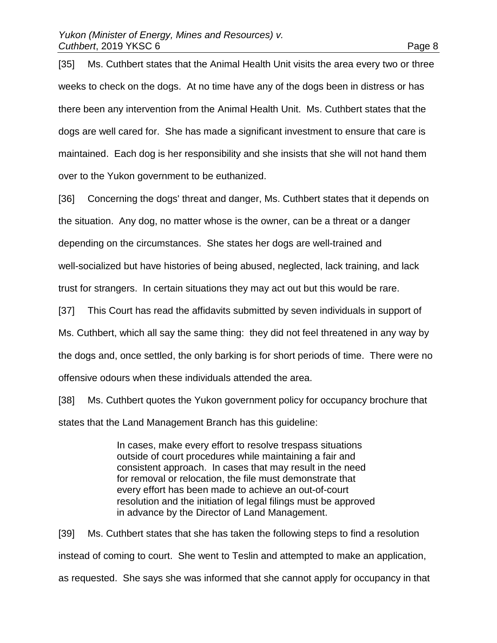[35] Ms. Cuthbert states that the Animal Health Unit visits the area every two or three weeks to check on the dogs. At no time have any of the dogs been in distress or has there been any intervention from the Animal Health Unit. Ms. Cuthbert states that the dogs are well cared for. She has made a significant investment to ensure that care is maintained. Each dog is her responsibility and she insists that she will not hand them over to the Yukon government to be euthanized.

[36] Concerning the dogs' threat and danger, Ms. Cuthbert states that it depends on the situation. Any dog, no matter whose is the owner, can be a threat or a danger depending on the circumstances. She states her dogs are well-trained and well-socialized but have histories of being abused, neglected, lack training, and lack trust for strangers. In certain situations they may act out but this would be rare.

[37] This Court has read the affidavits submitted by seven individuals in support of Ms. Cuthbert, which all say the same thing: they did not feel threatened in any way by the dogs and, once settled, the only barking is for short periods of time. There were no offensive odours when these individuals attended the area.

[38] Ms. Cuthbert quotes the Yukon government policy for occupancy brochure that states that the Land Management Branch has this guideline:

> In cases, make every effort to resolve trespass situations outside of court procedures while maintaining a fair and consistent approach. In cases that may result in the need for removal or relocation, the file must demonstrate that every effort has been made to achieve an out-of-court resolution and the initiation of legal filings must be approved in advance by the Director of Land Management.

[39] Ms. Cuthbert states that she has taken the following steps to find a resolution instead of coming to court. She went to Teslin and attempted to make an application, as requested. She says she was informed that she cannot apply for occupancy in that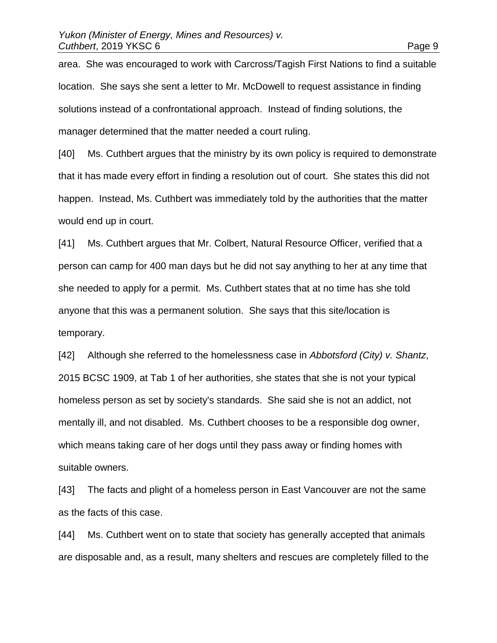area. She was encouraged to work with Carcross/Tagish First Nations to find a suitable location. She says she sent a letter to Mr. McDowell to request assistance in finding solutions instead of a confrontational approach. Instead of finding solutions, the manager determined that the matter needed a court ruling.

[40] Ms. Cuthbert argues that the ministry by its own policy is required to demonstrate that it has made every effort in finding a resolution out of court. She states this did not happen. Instead, Ms. Cuthbert was immediately told by the authorities that the matter would end up in court.

[41] Ms. Cuthbert argues that Mr. Colbert, Natural Resource Officer, verified that a person can camp for 400 man days but he did not say anything to her at any time that she needed to apply for a permit. Ms. Cuthbert states that at no time has she told anyone that this was a permanent solution. She says that this site/location is temporary.

[42] Although she referred to the homelessness case in *Abbotsford (City) v. Shantz*, 2015 BCSC 1909, at Tab 1 of her authorities, she states that she is not your typical homeless person as set by society's standards. She said she is not an addict, not mentally ill, and not disabled. Ms. Cuthbert chooses to be a responsible dog owner, which means taking care of her dogs until they pass away or finding homes with suitable owners.

[43] The facts and plight of a homeless person in East Vancouver are not the same as the facts of this case.

[44] Ms. Cuthbert went on to state that society has generally accepted that animals are disposable and, as a result, many shelters and rescues are completely filled to the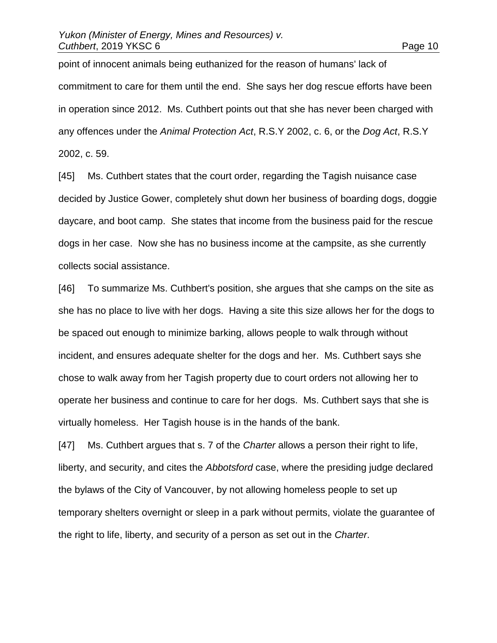point of innocent animals being euthanized for the reason of humans' lack of commitment to care for them until the end. She says her dog rescue efforts have been in operation since 2012. Ms. Cuthbert points out that she has never been charged with any offences under the *Animal Protection Act*, R.S.Y 2002, c. 6, or the *Dog Act*, R.S.Y 2002, c. 59.

[45] Ms. Cuthbert states that the court order, regarding the Tagish nuisance case decided by Justice Gower, completely shut down her business of boarding dogs, doggie daycare, and boot camp. She states that income from the business paid for the rescue dogs in her case. Now she has no business income at the campsite, as she currently collects social assistance.

[46] To summarize Ms. Cuthbert's position, she argues that she camps on the site as she has no place to live with her dogs. Having a site this size allows her for the dogs to be spaced out enough to minimize barking, allows people to walk through without incident, and ensures adequate shelter for the dogs and her. Ms. Cuthbert says she chose to walk away from her Tagish property due to court orders not allowing her to operate her business and continue to care for her dogs. Ms. Cuthbert says that she is virtually homeless. Her Tagish house is in the hands of the bank.

[47] Ms. Cuthbert argues that s. 7 of the *Charter* allows a person their right to life, liberty, and security, and cites the *Abbotsford* case, where the presiding judge declared the bylaws of the City of Vancouver, by not allowing homeless people to set up temporary shelters overnight or sleep in a park without permits, violate the guarantee of the right to life, liberty, and security of a person as set out in the *Charter*.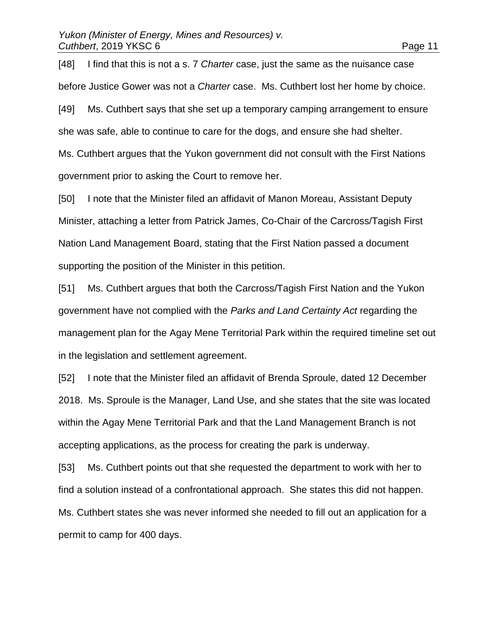[48] I find that this is not a s. 7 *Charter* case, just the same as the nuisance case before Justice Gower was not a *Charter* case. Ms. Cuthbert lost her home by choice. [49] Ms. Cuthbert says that she set up a temporary camping arrangement to ensure she was safe, able to continue to care for the dogs, and ensure she had shelter. Ms. Cuthbert argues that the Yukon government did not consult with the First Nations government prior to asking the Court to remove her.

[50] I note that the Minister filed an affidavit of Manon Moreau, Assistant Deputy Minister, attaching a letter from Patrick James, Co-Chair of the Carcross/Tagish First Nation Land Management Board, stating that the First Nation passed a document supporting the position of the Minister in this petition.

[51] Ms. Cuthbert argues that both the Carcross/Tagish First Nation and the Yukon government have not complied with the *Parks and Land Certainty Act* regarding the management plan for the Agay Mene Territorial Park within the required timeline set out in the legislation and settlement agreement.

[52] I note that the Minister filed an affidavit of Brenda Sproule, dated 12 December 2018. Ms. Sproule is the Manager, Land Use, and she states that the site was located within the Agay Mene Territorial Park and that the Land Management Branch is not accepting applications, as the process for creating the park is underway.

[53] Ms. Cuthbert points out that she requested the department to work with her to find a solution instead of a confrontational approach. She states this did not happen. Ms. Cuthbert states she was never informed she needed to fill out an application for a permit to camp for 400 days.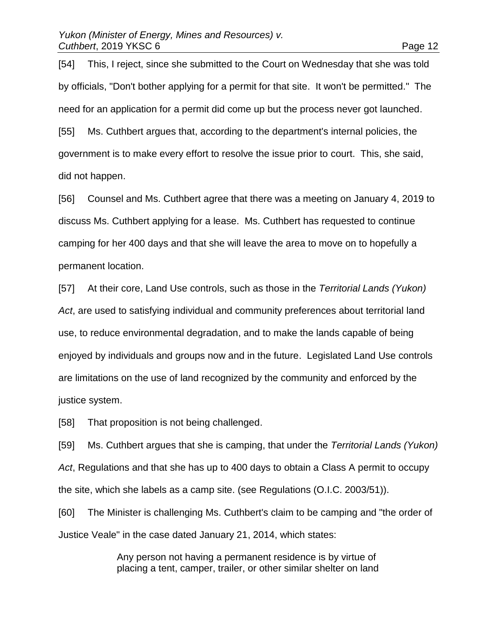[54] This, I reject, since she submitted to the Court on Wednesday that she was told by officials, "Don't bother applying for a permit for that site. It won't be permitted." The need for an application for a permit did come up but the process never got launched.

[55] Ms. Cuthbert argues that, according to the department's internal policies, the government is to make every effort to resolve the issue prior to court. This, she said, did not happen.

[56] Counsel and Ms. Cuthbert agree that there was a meeting on January 4, 2019 to discuss Ms. Cuthbert applying for a lease. Ms. Cuthbert has requested to continue camping for her 400 days and that she will leave the area to move on to hopefully a permanent location.

[57] At their core, Land Use controls, such as those in the *Territorial Lands (Yukon) Act*, are used to satisfying individual and community preferences about territorial land use, to reduce environmental degradation, and to make the lands capable of being enjoyed by individuals and groups now and in the future. Legislated Land Use controls are limitations on the use of land recognized by the community and enforced by the justice system.

[58] That proposition is not being challenged.

[59] Ms. Cuthbert argues that she is camping, that under the *Territorial Lands (Yukon) Act*, Regulations and that she has up to 400 days to obtain a Class A permit to occupy the site, which she labels as a camp site. (see Regulations (O.I.C. 2003/51)).

[60] The Minister is challenging Ms. Cuthbert's claim to be camping and "the order of Justice Veale" in the case dated January 21, 2014, which states:

> Any person not having a permanent residence is by virtue of placing a tent, camper, trailer, or other similar shelter on land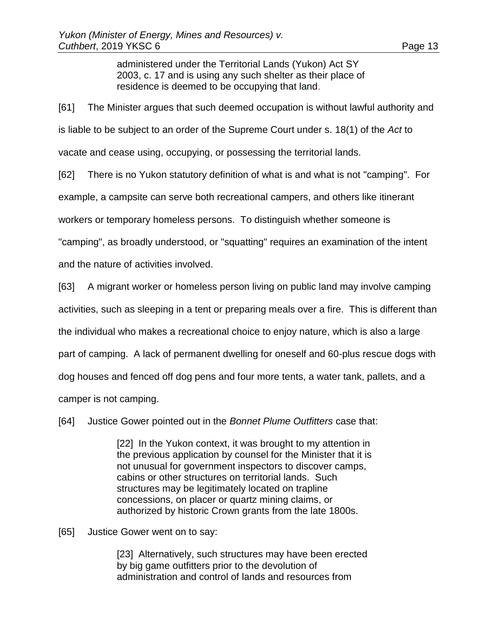administered under the Territorial Lands (Yukon) Act SY 2003, c. 17 and is using any such shelter as their place of residence is deemed to be occupying that land.

[61] The Minister argues that such deemed occupation is without lawful authority and is liable to be subject to an order of the Supreme Court under s. 18(1) of the *Act* to vacate and cease using, occupying, or possessing the territorial lands.

[62] There is no Yukon statutory definition of what is and what is not "camping". For

example, a campsite can serve both recreational campers, and others like itinerant

workers or temporary homeless persons. To distinguish whether someone is

"camping", as broadly understood, or "squatting" requires an examination of the intent and the nature of activities involved.

[63] A migrant worker or homeless person living on public land may involve camping

activities, such as sleeping in a tent or preparing meals over a fire. This is different than

the individual who makes a recreational choice to enjoy nature, which is also a large

part of camping. A lack of permanent dwelling for oneself and 60-plus rescue dogs with

dog houses and fenced off dog pens and four more tents, a water tank, pallets, and a

camper is not camping.

[64] Justice Gower pointed out in the *Bonnet Plume Outfitters* case that:

[22] In the Yukon context, it was brought to my attention in the previous application by counsel for the Minister that it is not unusual for government inspectors to discover camps, cabins or other structures on territorial lands. Such structures may be legitimately located on trapline concessions, on placer or quartz mining claims, or authorized by historic Crown grants from the late 1800s.

[65] Justice Gower went on to say:

[23] Alternatively, such structures may have been erected by big game outfitters prior to the devolution of administration and control of lands and resources from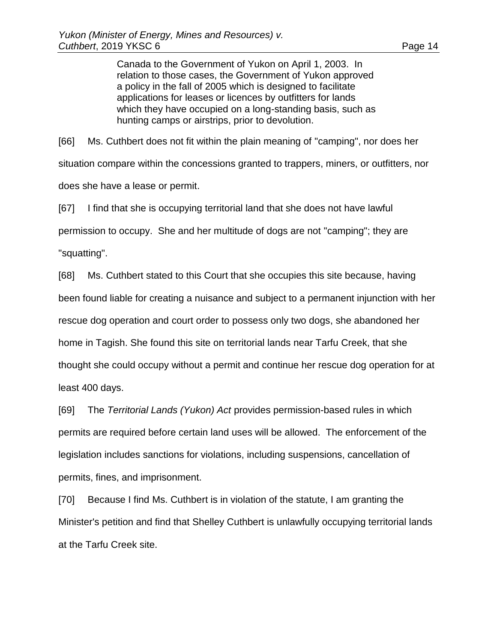Canada to the Government of Yukon on April 1, 2003. In relation to those cases, the Government of Yukon approved a policy in the fall of 2005 which is designed to facilitate applications for leases or licences by outfitters for lands which they have occupied on a long-standing basis, such as hunting camps or airstrips, prior to devolution.

[66] Ms. Cuthbert does not fit within the plain meaning of "camping", nor does her situation compare within the concessions granted to trappers, miners, or outfitters, nor does she have a lease or permit.

[67] I find that she is occupying territorial land that she does not have lawful

permission to occupy. She and her multitude of dogs are not "camping"; they are

"squatting".

[68] Ms. Cuthbert stated to this Court that she occupies this site because, having been found liable for creating a nuisance and subject to a permanent injunction with her rescue dog operation and court order to possess only two dogs, she abandoned her home in Tagish. She found this site on territorial lands near Tarfu Creek, that she thought she could occupy without a permit and continue her rescue dog operation for at least 400 days.

[69] The *Territorial Lands (Yukon) Act* provides permission-based rules in which permits are required before certain land uses will be allowed. The enforcement of the legislation includes sanctions for violations, including suspensions, cancellation of permits, fines, and imprisonment.

[70] Because I find Ms. Cuthbert is in violation of the statute, I am granting the Minister's petition and find that Shelley Cuthbert is unlawfully occupying territorial lands at the Tarfu Creek site.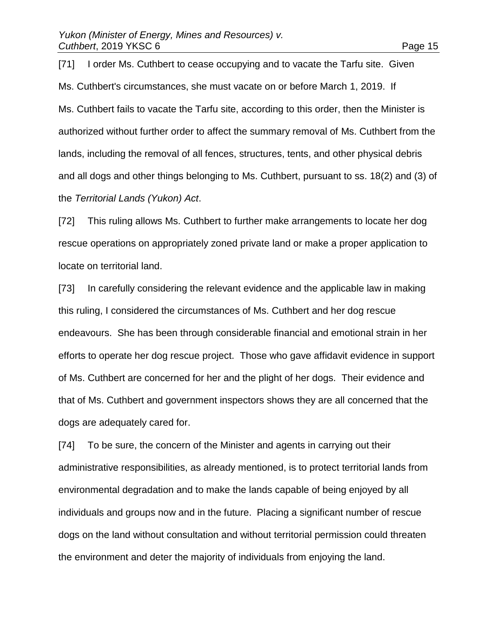[71] I order Ms. Cuthbert to cease occupying and to vacate the Tarfu site. Given Ms. Cuthbert's circumstances, she must vacate on or before March 1, 2019. If Ms. Cuthbert fails to vacate the Tarfu site, according to this order, then the Minister is authorized without further order to affect the summary removal of Ms. Cuthbert from the lands, including the removal of all fences, structures, tents, and other physical debris and all dogs and other things belonging to Ms. Cuthbert, pursuant to ss. 18(2) and (3) of the *Territorial Lands (Yukon) Act*.

[72] This ruling allows Ms. Cuthbert to further make arrangements to locate her dog rescue operations on appropriately zoned private land or make a proper application to locate on territorial land.

[73] In carefully considering the relevant evidence and the applicable law in making this ruling, I considered the circumstances of Ms. Cuthbert and her dog rescue endeavours. She has been through considerable financial and emotional strain in her efforts to operate her dog rescue project. Those who gave affidavit evidence in support of Ms. Cuthbert are concerned for her and the plight of her dogs. Their evidence and that of Ms. Cuthbert and government inspectors shows they are all concerned that the dogs are adequately cared for.

[74] To be sure, the concern of the Minister and agents in carrying out their administrative responsibilities, as already mentioned, is to protect territorial lands from environmental degradation and to make the lands capable of being enjoyed by all individuals and groups now and in the future. Placing a significant number of rescue dogs on the land without consultation and without territorial permission could threaten the environment and deter the majority of individuals from enjoying the land.